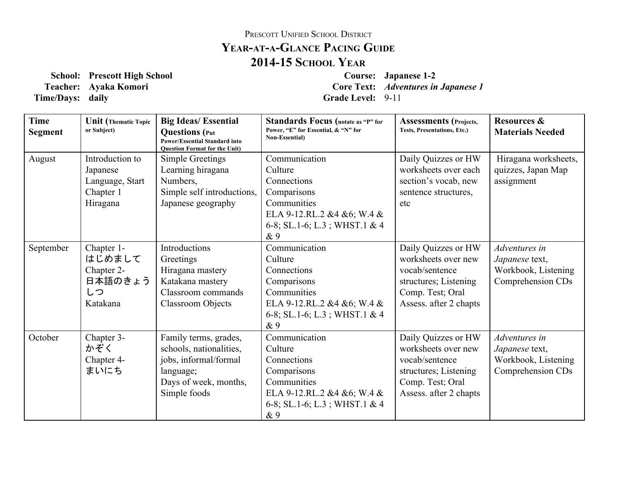## PRESCOTT UNIFIED SCHOOL DISTRICT **YEARATAGLANCE PACING GUIDE 201415 SCHOOL YEAR**

**Time/Days:** daily **Grade** Level: 9-11

**School: Prescott High School Course: Japanese 12 Teacher: Ayaka Komori Core Text:** *Adventures in Japanese 1*

| <b>Time</b><br><b>Segment</b> | <b>Unit</b> (Thematic Topic<br>or Subject)                              | <b>Big Ideas/Essential</b><br><b>Questions</b> (Put<br><b>Power/Essential Standard into</b><br><b>Ouestion Format for the Unit)</b> | <b>Standards Focus</b> (notate as "P" for<br>Power, "E" for Essential, & "N" for<br><b>Non-Essential</b> )                                 | <b>Assessments</b> (Projects,<br>Tests, Presentations, Etc.)                                                                        | <b>Resources &amp;</b><br><b>Materials Needed</b>                           |
|-------------------------------|-------------------------------------------------------------------------|-------------------------------------------------------------------------------------------------------------------------------------|--------------------------------------------------------------------------------------------------------------------------------------------|-------------------------------------------------------------------------------------------------------------------------------------|-----------------------------------------------------------------------------|
| August                        | Introduction to<br>Japanese<br>Language, Start<br>Chapter 1<br>Hiragana | Simple Greetings<br>Learning hiragana<br>Numbers,<br>Simple self introductions,<br>Japanese geography                               | Communication<br>Culture<br>Connections<br>Comparisons<br>Communities<br>ELA 9-12.RL.2 &4 &6; W.4 &<br>6-8; SL.1-6; L.3; WHST.1 & 4<br>& 9 | Daily Quizzes or HW<br>worksheets over each<br>section's vocab, new<br>sentence structures,<br>etc                                  | Hiragana worksheets,<br>quizzes, Japan Map<br>assignment                    |
| September                     | Chapter 1-<br>はじめまして<br>Chapter 2-<br>日本語のきょう<br>しつ<br>Katakana         | Introductions<br>Greetings<br>Hiragana mastery<br>Katakana mastery<br>Classroom commands<br><b>Classroom Objects</b>                | Communication<br>Culture<br>Connections<br>Comparisons<br>Communities<br>ELA 9-12.RL.2 &4 &6; W.4 &<br>6-8; SL.1-6; L.3; WHST.1 & 4<br>& 9 | Daily Quizzes or HW<br>worksheets over new<br>vocab/sentence<br>structures; Listening<br>Comp. Test; Oral<br>Assess. after 2 chapts | Adventures in<br>Japanese text,<br>Workbook, Listening<br>Comprehension CDs |
| October                       | Chapter 3-<br>かぞく<br>Chapter 4-<br>まいにち                                 | Family terms, grades,<br>schools, nationalities,<br>jobs, informal/formal<br>language;<br>Days of week, months,<br>Simple foods     | Communication<br>Culture<br>Connections<br>Comparisons<br>Communities<br>ELA 9-12.RL.2 &4 &6; W.4 &<br>6-8; SL.1-6; L.3; WHST.1 & 4<br>& 9 | Daily Quizzes or HW<br>worksheets over new<br>vocab/sentence<br>structures; Listening<br>Comp. Test; Oral<br>Assess. after 2 chapts | Adventures in<br>Japanese text,<br>Workbook, Listening<br>Comprehension CDs |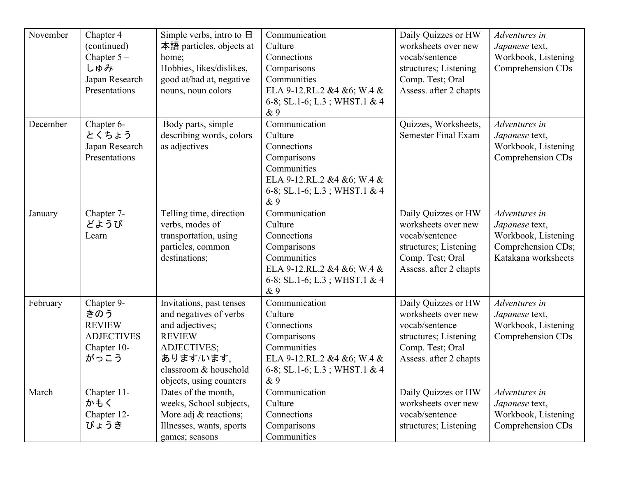| November | Chapter 4<br>(continued)<br>Chapter $5-$<br>しゅみ<br>Japan Research<br>Presentations | Simple verbs, intro to $\Box$<br>本語 particles, objects at<br>home;<br>Hobbies, likes/dislikes,<br>good at/bad at, negative<br>nouns, noun colors                       | Communication<br>Culture<br>Connections<br>Comparisons<br>Communities<br>ELA 9-12.RL.2 &4 &6; W.4 &<br>6-8; SL.1-6; L.3; WHST.1 & 4<br>& 9 | Daily Quizzes or HW<br>worksheets over new<br>vocab/sentence<br>structures; Listening<br>Comp. Test; Oral<br>Assess. after 2 chapts | Adventures in<br>Japanese text,<br>Workbook, Listening<br>Comprehension CDs                         |
|----------|------------------------------------------------------------------------------------|------------------------------------------------------------------------------------------------------------------------------------------------------------------------|--------------------------------------------------------------------------------------------------------------------------------------------|-------------------------------------------------------------------------------------------------------------------------------------|-----------------------------------------------------------------------------------------------------|
| December | Chapter 6-<br>とくちょう<br>Japan Research<br>Presentations                             | Body parts, simple<br>describing words, colors<br>as adjectives                                                                                                        | Communication<br>Culture<br>Connections<br>Comparisons<br>Communities<br>ELA 9-12.RL.2 &4 &6; W.4 &<br>6-8; SL.1-6; L.3; WHST.1 & 4<br>&9  | Quizzes, Worksheets,<br><b>Semester Final Exam</b>                                                                                  | Adventures in<br>Japanese text,<br>Workbook, Listening<br>Comprehension CDs                         |
| January  | Chapter 7-<br>どようび<br>Learn                                                        | Telling time, direction<br>verbs, modes of<br>transportation, using<br>particles, common<br>destinations;                                                              | Communication<br>Culture<br>Connections<br>Comparisons<br>Communities<br>ELA 9-12.RL.2 &4 &6; W.4 &<br>6-8; SL.1-6; L.3; WHST.1 & 4<br>& 9 | Daily Quizzes or HW<br>worksheets over new<br>vocab/sentence<br>structures; Listening<br>Comp. Test; Oral<br>Assess. after 2 chapts | Adventures in<br>Japanese text,<br>Workbook, Listening<br>Comprehension CDs;<br>Katakana worksheets |
| February | Chapter 9-<br>きのう<br><b>REVIEW</b><br><b>ADJECTIVES</b><br>Chapter 10-<br>がっこう     | Invitations, past tenses<br>and negatives of verbs<br>and adjectives;<br><b>REVIEW</b><br>ADJECTIVES;<br>あります/います,<br>classroom & household<br>objects, using counters | Communication<br>Culture<br>Connections<br>Comparisons<br>Communities<br>ELA 9-12.RL.2 &4 &6; W.4 &<br>6-8; SL.1-6; L.3; WHST.1 & 4<br>& 9 | Daily Quizzes or HW<br>worksheets over new<br>vocab/sentence<br>structures; Listening<br>Comp. Test; Oral<br>Assess. after 2 chapts | Adventures in<br>Japanese text,<br>Workbook, Listening<br>Comprehension CDs                         |
| March    | Chapter 11-<br>かもく<br>Chapter 12-<br>びょうき                                          | Dates of the month,<br>weeks, School subjects,<br>More adj & reactions;<br>Illnesses, wants, sports<br>games; seasons                                                  | Communication<br>Culture<br>Connections<br>Comparisons<br>Communities                                                                      | Daily Quizzes or HW<br>worksheets over new<br>vocab/sentence<br>structures; Listening                                               | Adventures in<br>Japanese text,<br>Workbook, Listening<br>Comprehension CDs                         |